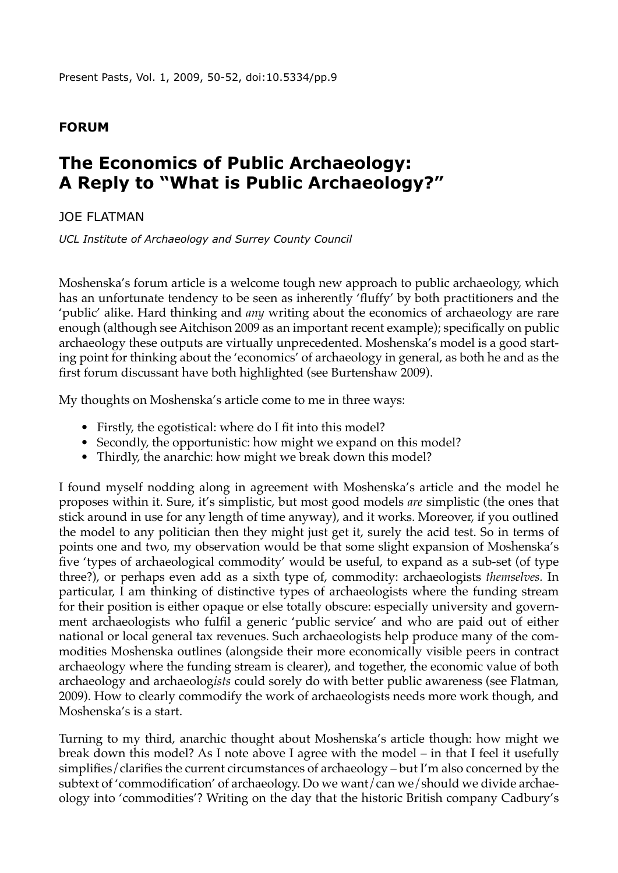## **Forum**

## **The Economics of Public Archaeology: A Reply to "What is Public Archaeology?"**

JOE FLATMAN

*UCL Institute of Archaeology and Surrey County Council*

Moshenska's forum article is a welcome tough new approach to public archaeology, which has an unfortunate tendency to be seen as inherently 'fluffy' by both practitioners and the 'public' alike. Hard thinking and *any* writing about the economics of archaeology are rare enough (although see Aitchison 2009 as an important recent example); specifically on public archaeology these outputs are virtually unprecedented. Moshenska's model is a good starting point for thinking about the 'economics' of archaeology in general, as both he and as the first forum discussant have both highlighted (see Burtenshaw 2009).

My thoughts on Moshenska's article come to me in three ways:

- Firstly, the egotistical: where do I fit into this model?
- Secondly, the opportunistic: how might we expand on this model?
- Thirdly, the anarchic: how might we break down this model?

I found myself nodding along in agreement with Moshenska's article and the model he proposes within it. Sure, it's simplistic, but most good models *are* simplistic (the ones that stick around in use for any length of time anyway), and it works. Moreover, if you outlined the model to any politician then they might just get it, surely the acid test. So in terms of points one and two, my observation would be that some slight expansion of Moshenska's five 'types of archaeological commodity' would be useful, to expand as a sub-set (of type three?), or perhaps even add as a sixth type of, commodity: archaeologists *themselves.* In particular, I am thinking of distinctive types of archaeologists where the funding stream for their position is either opaque or else totally obscure: especially university and government archaeologists who fulfil a generic 'public service' and who are paid out of either national or local general tax revenues. Such archaeologists help produce many of the commodities Moshenska outlines (alongside their more economically visible peers in contract archaeology where the funding stream is clearer), and together, the economic value of both archaeology and archaeolog*ists* could sorely do with better public awareness (see Flatman, 2009). How to clearly commodify the work of archaeologists needs more work though, and Moshenska's is a start.

Turning to my third, anarchic thought about Moshenska's article though: how might we break down this model? As I note above I agree with the model – in that I feel it usefully simplifies/clarifies the current circumstances of archaeology – but I'm also concerned by the subtext of 'commodification' of archaeology. Do we want/can we/should we divide archaeology into 'commodities'? Writing on the day that the historic British company Cadbury's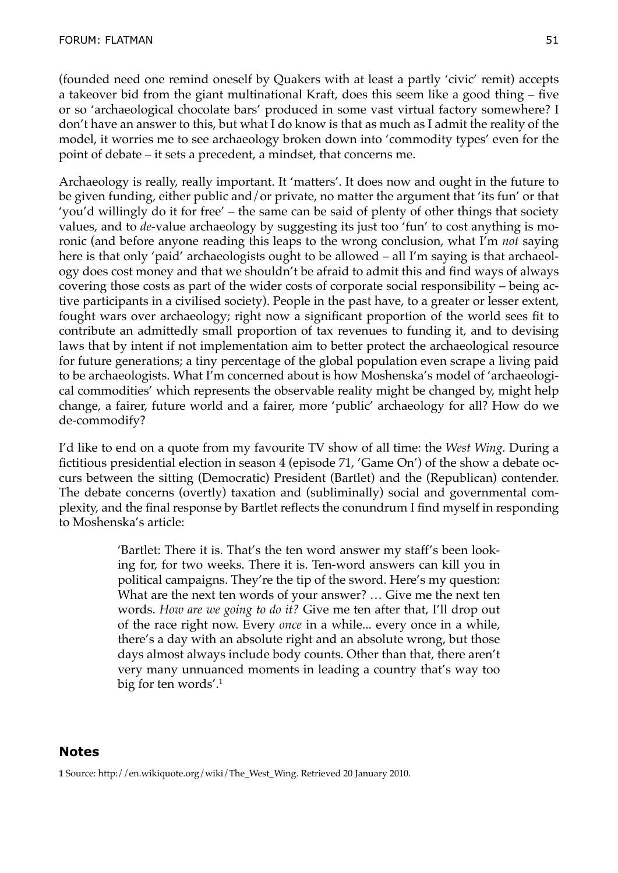(founded need one remind oneself by Quakers with at least a partly 'civic' remit) accepts a takeover bid from the giant multinational Kraft, does this seem like a good thing – five or so 'archaeological chocolate bars' produced in some vast virtual factory somewhere? I don't have an answer to this, but what I do know is that as much as I admit the reality of the model, it worries me to see archaeology broken down into 'commodity types' even for the point of debate – it sets a precedent, a mindset, that concerns me.

Archaeology is really, really important. It 'matters'. It does now and ought in the future to be given funding, either public and/or private, no matter the argument that 'its fun' or that 'you'd willingly do it for free' – the same can be said of plenty of other things that society values, and to *de-*value archaeology by suggesting its just too 'fun' to cost anything is moronic (and before anyone reading this leaps to the wrong conclusion, what I'm *not* saying here is that only 'paid' archaeologists ought to be allowed – all I'm saying is that archaeology does cost money and that we shouldn't be afraid to admit this and find ways of always covering those costs as part of the wider costs of corporate social responsibility – being active participants in a civilised society). People in the past have, to a greater or lesser extent, fought wars over archaeology; right now a significant proportion of the world sees fit to contribute an admittedly small proportion of tax revenues to funding it, and to devising laws that by intent if not implementation aim to better protect the archaeological resource for future generations; a tiny percentage of the global population even scrape a living paid to be archaeologists. What I'm concerned about is how Moshenska's model of 'archaeological commodities' which represents the observable reality might be changed by, might help change, a fairer, future world and a fairer, more 'public' archaeology for all? How do we de-commodify?

I'd like to end on a quote from my favourite TV show of all time: the *West Wing.* During a fictitious presidential election in season 4 (episode 71, 'Game On') of the show a debate occurs between the sitting (Democratic) President (Bartlet) and the (Republican) contender. The debate concerns (overtly) taxation and (subliminally) social and governmental complexity, and the final response by Bartlet reflects the conundrum I find myself in responding to Moshenska's article:

> 'Bartlet: There it is. That's the ten word answer my staff's been looking for, for two weeks. There it is. Ten-word answers can kill you in political campaigns. They're the tip of the sword. Here's my question: What are the next ten words of your answer? … Give me the next ten words. *How are we going to do it?* Give me ten after that, I'll drop out of the race right now. Every *once* in a while... every once in a while, there's a day with an absolute right and an absolute wrong, but those days almost always include body counts. Other than that, there aren't very many unnuanced moments in leading a country that's way too big for ten words'.<sup>1</sup>

## **Notes**

**1** Source: http://en.wikiquote.org/wiki/The\_West\_Wing. Retrieved 20 January 2010.